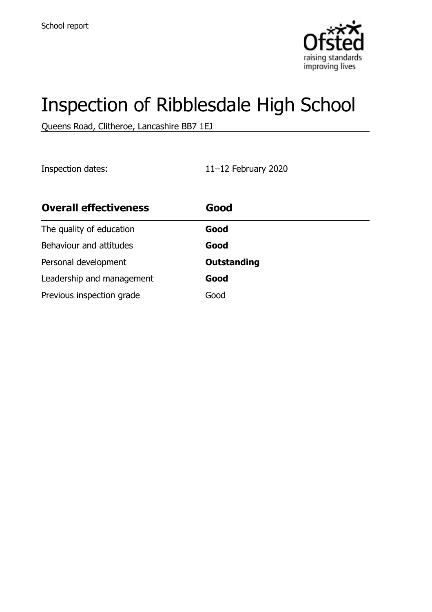

# Inspection of Ribblesdale High School

Queens Road, Clitheroe, Lancashire BB7 1EJ

Inspection dates: 11–12 February 2020

| <b>Overall effectiveness</b> | Good               |
|------------------------------|--------------------|
| The quality of education     | Good               |
| Behaviour and attitudes      | Good               |
| Personal development         | <b>Outstanding</b> |
| Leadership and management    | Good               |
| Previous inspection grade    | Good               |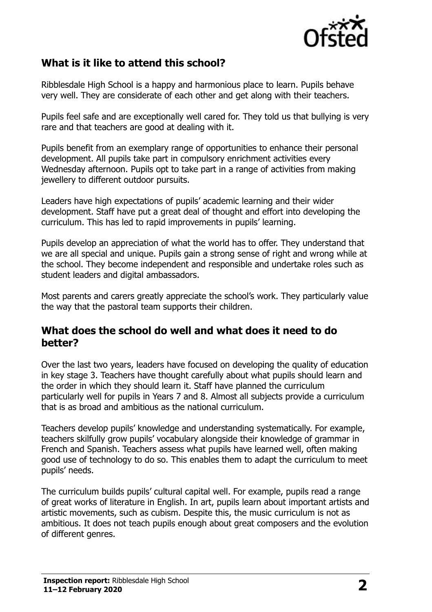

# **What is it like to attend this school?**

Ribblesdale High School is a happy and harmonious place to learn. Pupils behave very well. They are considerate of each other and get along with their teachers.

Pupils feel safe and are exceptionally well cared for. They told us that bullying is very rare and that teachers are good at dealing with it.

Pupils benefit from an exemplary range of opportunities to enhance their personal development. All pupils take part in compulsory enrichment activities every Wednesday afternoon. Pupils opt to take part in a range of activities from making jewellery to different outdoor pursuits.

Leaders have high expectations of pupils' academic learning and their wider development. Staff have put a great deal of thought and effort into developing the curriculum. This has led to rapid improvements in pupils' learning.

Pupils develop an appreciation of what the world has to offer. They understand that we are all special and unique. Pupils gain a strong sense of right and wrong while at the school. They become independent and responsible and undertake roles such as student leaders and digital ambassadors.

Most parents and carers greatly appreciate the school's work. They particularly value the way that the pastoral team supports their children.

#### **What does the school do well and what does it need to do better?**

Over the last two years, leaders have focused on developing the quality of education in key stage 3. Teachers have thought carefully about what pupils should learn and the order in which they should learn it. Staff have planned the curriculum particularly well for pupils in Years 7 and 8. Almost all subjects provide a curriculum that is as broad and ambitious as the national curriculum.

Teachers develop pupils' knowledge and understanding systematically. For example, teachers skilfully grow pupils' vocabulary alongside their knowledge of grammar in French and Spanish. Teachers assess what pupils have learned well, often making good use of technology to do so. This enables them to adapt the curriculum to meet pupils' needs.

The curriculum builds pupils' cultural capital well. For example, pupils read a range of great works of literature in English. In art, pupils learn about important artists and artistic movements, such as cubism. Despite this, the music curriculum is not as ambitious. It does not teach pupils enough about great composers and the evolution of different genres.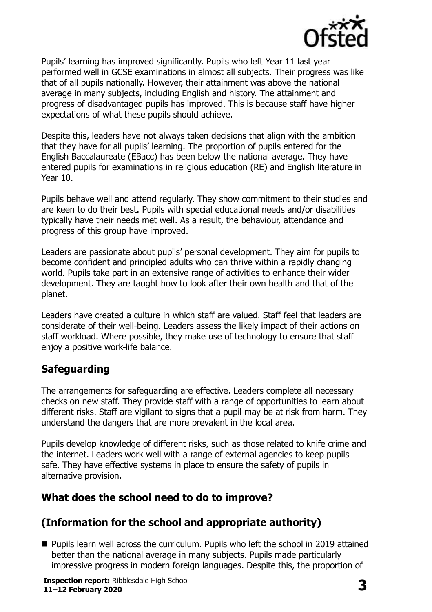

Pupils' learning has improved significantly. Pupils who left Year 11 last year performed well in GCSE examinations in almost all subjects. Their progress was like that of all pupils nationally. However, their attainment was above the national average in many subjects, including English and history. The attainment and progress of disadvantaged pupils has improved. This is because staff have higher expectations of what these pupils should achieve.

Despite this, leaders have not always taken decisions that align with the ambition that they have for all pupils' learning. The proportion of pupils entered for the English Baccalaureate (EBacc) has been below the national average. They have entered pupils for examinations in religious education (RE) and English literature in Year 10.

Pupils behave well and attend regularly. They show commitment to their studies and are keen to do their best. Pupils with special educational needs and/or disabilities typically have their needs met well. As a result, the behaviour, attendance and progress of this group have improved.

Leaders are passionate about pupils' personal development. They aim for pupils to become confident and principled adults who can thrive within a rapidly changing world. Pupils take part in an extensive range of activities to enhance their wider development. They are taught how to look after their own health and that of the planet.

Leaders have created a culture in which staff are valued. Staff feel that leaders are considerate of their well-being. Leaders assess the likely impact of their actions on staff workload. Where possible, they make use of technology to ensure that staff enjoy a positive work-life balance.

# **Safeguarding**

The arrangements for safeguarding are effective. Leaders complete all necessary checks on new staff. They provide staff with a range of opportunities to learn about different risks. Staff are vigilant to signs that a pupil may be at risk from harm. They understand the dangers that are more prevalent in the local area.

Pupils develop knowledge of different risks, such as those related to knife crime and the internet. Leaders work well with a range of external agencies to keep pupils safe. They have effective systems in place to ensure the safety of pupils in alternative provision.

# **What does the school need to do to improve?**

# **(Information for the school and appropriate authority)**

■ Pupils learn well across the curriculum. Pupils who left the school in 2019 attained better than the national average in many subjects. Pupils made particularly impressive progress in modern foreign languages. Despite this, the proportion of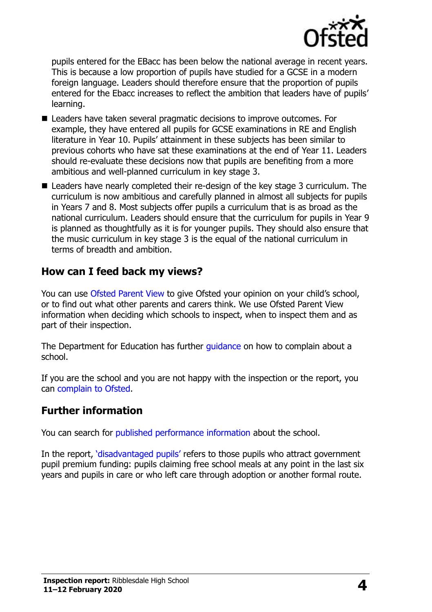

pupils entered for the EBacc has been below the national average in recent years. This is because a low proportion of pupils have studied for a GCSE in a modern foreign language. Leaders should therefore ensure that the proportion of pupils entered for the Ebacc increases to reflect the ambition that leaders have of pupils' learning.

- Leaders have taken several pragmatic decisions to improve outcomes. For example, they have entered all pupils for GCSE examinations in RE and English literature in Year 10. Pupils' attainment in these subjects has been similar to previous cohorts who have sat these examinations at the end of Year 11. Leaders should re-evaluate these decisions now that pupils are benefiting from a more ambitious and well-planned curriculum in key stage 3.
- Leaders have nearly completed their re-design of the key stage 3 curriculum. The curriculum is now ambitious and carefully planned in almost all subjects for pupils in Years 7 and 8. Most subjects offer pupils a curriculum that is as broad as the national curriculum. Leaders should ensure that the curriculum for pupils in Year 9 is planned as thoughtfully as it is for younger pupils. They should also ensure that the music curriculum in key stage 3 is the equal of the national curriculum in terms of breadth and ambition.

### **How can I feed back my views?**

You can use [Ofsted Parent View](http://parentview.ofsted.gov.uk/) to give Ofsted your opinion on your child's school, or to find out what other parents and carers think. We use Ofsted Parent View information when deciding which schools to inspect, when to inspect them and as part of their inspection.

The Department for Education has further quidance on how to complain about a school.

If you are the school and you are not happy with the inspection or the report, you can [complain to Ofsted.](http://www.gov.uk/complain-ofsted-report)

#### **Further information**

You can search for [published performance information](http://www.compare-school-performance.service.gov.uk/) about the school.

In the report, '[disadvantaged pupils](http://www.gov.uk/guidance/pupil-premium-information-for-schools-and-alternative-provision-settings)' refers to those pupils who attract government pupil premium funding: pupils claiming free school meals at any point in the last six years and pupils in care or who left care through adoption or another formal route.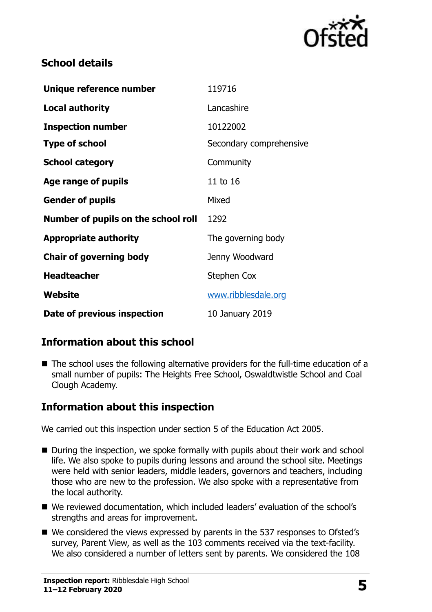

# **School details**

| Unique reference number             | 119716                  |
|-------------------------------------|-------------------------|
| Local authority                     | Lancashire              |
| <b>Inspection number</b>            | 10122002                |
| <b>Type of school</b>               | Secondary comprehensive |
| <b>School category</b>              | Community               |
| Age range of pupils                 | 11 to 16                |
| <b>Gender of pupils</b>             | Mixed                   |
| Number of pupils on the school roll | 1292                    |
| <b>Appropriate authority</b>        | The governing body      |
| <b>Chair of governing body</b>      | Jenny Woodward          |
| <b>Headteacher</b>                  | <b>Stephen Cox</b>      |
| Website                             | www.ribblesdale.org     |
| Date of previous inspection         | 10 January 2019         |

# **Information about this school**

■ The school uses the following alternative providers for the full-time education of a small number of pupils: The Heights Free School, Oswaldtwistle School and Coal Clough Academy.

# **Information about this inspection**

We carried out this inspection under section 5 of the Education Act 2005.

- During the inspection, we spoke formally with pupils about their work and school life. We also spoke to pupils during lessons and around the school site. Meetings were held with senior leaders, middle leaders, governors and teachers, including those who are new to the profession. We also spoke with a representative from the local authority.
- We reviewed documentation, which included leaders' evaluation of the school's strengths and areas for improvement.
- We considered the views expressed by parents in the 537 responses to Ofsted's survey, Parent View, as well as the 103 comments received via the text-facility. We also considered a number of letters sent by parents. We considered the 108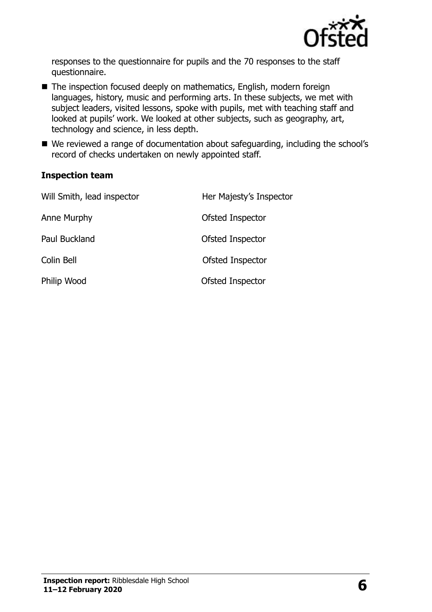

responses to the questionnaire for pupils and the 70 responses to the staff questionnaire.

- The inspection focused deeply on mathematics, English, modern foreign languages, history, music and performing arts. In these subjects, we met with subject leaders, visited lessons, spoke with pupils, met with teaching staff and looked at pupils' work. We looked at other subjects, such as geography, art, technology and science, in less depth.
- We reviewed a range of documentation about safeguarding, including the school's record of checks undertaken on newly appointed staff.

#### **Inspection team**

| Will Smith, lead inspector | Her Majesty's Inspector |
|----------------------------|-------------------------|
| Anne Murphy                | Ofsted Inspector        |
| Paul Buckland              | Ofsted Inspector        |
| Colin Bell                 | Ofsted Inspector        |
| Philip Wood                | Ofsted Inspector        |